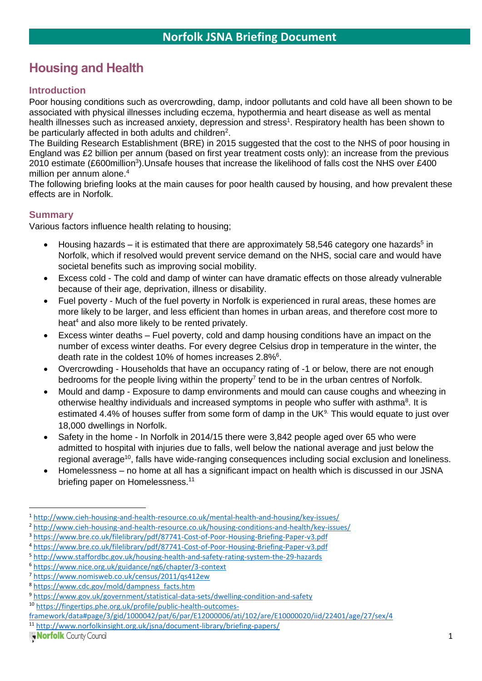# **Housing and Health**

### **Introduction**

Poor housing conditions such as overcrowding, damp, indoor pollutants and cold have all been shown to be associated with physical illnesses including eczema, hypothermia and heart disease as well as mental health illnesses such as increased anxiety, depression and stress<sup>1</sup>. Respiratory health has been shown to be particularly affected in both adults and children<sup>2</sup>.

The [Building Research Establishment \(BRE\) in 2015](https://www.bre.co.uk/filelibrary/pdf/87741-Cost-of-Poor-Housing-Briefing-Paper-v3.pdf) suggested that the cost to the NHS of poor housing in England was £2 billion per annum (based on first year treatment costs only): an increase from the previous 2010 estimate (£600million<sup>3</sup>). Unsafe houses that increase the likelihood of falls cost the NHS over £400 million per annum alone.<sup>4</sup>

The following briefing looks at the main causes for poor health caused by housing, and how prevalent these effects are in Norfolk.

### **Summary**

Various factors influence health relating to housing;

- Housing hazards  $-$  it is estimated that there are approximately 58,546 category one hazards<sup>5</sup> in Norfolk, which if resolved would prevent service demand on the NHS, social care and would have societal benefits such as improving social mobility.
- Excess cold The cold and damp of winter can have dramatic effects on those already vulnerable because of their age, deprivation, illness or disability.
- Fuel poverty Much of the fuel poverty in Norfolk is experienced in rural areas, these homes are more likely to be larger, and less efficient than homes in urban areas, and therefore cost more to heat<sup>4</sup> and also more likely to be rented privately.
- Excess winter deaths Fuel poverty, cold and damp housing conditions have an impact on the number of excess winter deaths. For every degree Celsius drop in temperature in the winter, the death rate in the coldest 10% of homes increases 2.8%<sup>6</sup>.
- Overcrowding Households that have an occupancy rating of -1 or below, there are not enough bedrooms for the people living within the property<sup>7</sup> tend to be in the urban centres of Norfolk.
- Mould and damp Exposure to damp environments and mould can cause coughs and wheezing in otherwise healthy individuals and increased symptoms in people who suffer with asthma<sup>8</sup>. It is estimated 4.4% of houses suffer from some form of damp in the UK $9$ . This would equate to just over 18,000 dwellings in Norfolk.
- Safety in the home In Norfolk in 2014/15 there were 3,842 people aged over 65 who were admitted to hospital with injuries due to falls, well below the national average and just below the regional average<sup>10</sup>, falls have wide-ranging consequences including social exclusion and loneliness.
- Homelessness no home at all has a significant impact on health which is discussed in our JSNA briefing paper on Homelessness.<sup>11</sup>

<sup>1</sup> <http://www.cieh-housing-and-health-resource.co.uk/mental-health-and-housing/key-issues/>

<sup>2</sup> <http://www.cieh-housing-and-health-resource.co.uk/housing-conditions-and-health/key-issues/>

<sup>3</sup> <https://www.bre.co.uk/filelibrary/pdf/87741-Cost-of-Poor-Housing-Briefing-Paper-v3.pdf>

<sup>4</sup> <https://www.bre.co.uk/filelibrary/pdf/87741-Cost-of-Poor-Housing-Briefing-Paper-v3.pdf>

<sup>5</sup> <http://www.staffordbc.gov.uk/housing-health-and-safety-rating-system-the-29-hazards>

<sup>6</sup> <https://www.nice.org.uk/guidance/ng6/chapter/3-context>

<sup>7</sup> <https://www.nomisweb.co.uk/census/2011/qs412ew>

<sup>8</sup> [https://www.cdc.gov/mold/dampness\\_facts.htm](https://www.cdc.gov/mold/dampness_facts.htm)

<sup>9</sup> <https://www.gov.uk/government/statistical-data-sets/dwelling-condition-and-safety>

<sup>10</sup> [https://fingertips.phe.org.uk/profile/public-health-outcomes-](https://fingertips.phe.org.uk/profile/public-health-outcomes-framework/data#page/3/gid/1000042/pat/6/par/E12000006/ati/102/are/E10000020/iid/22401/age/27/sex/4)

[framework/data#page/3/gid/1000042/pat/6/par/E12000006/ati/102/are/E10000020/iid/22401/age/27/sex/4](https://fingertips.phe.org.uk/profile/public-health-outcomes-framework/data#page/3/gid/1000042/pat/6/par/E12000006/ati/102/are/E10000020/iid/22401/age/27/sex/4)

<sup>11</sup> [http://www.norfolkinsight.org.uk/jsna/document-library/briefing-papers/](http://www.norfolkinsight.org.uk/jsna/document-library/briefing-papers)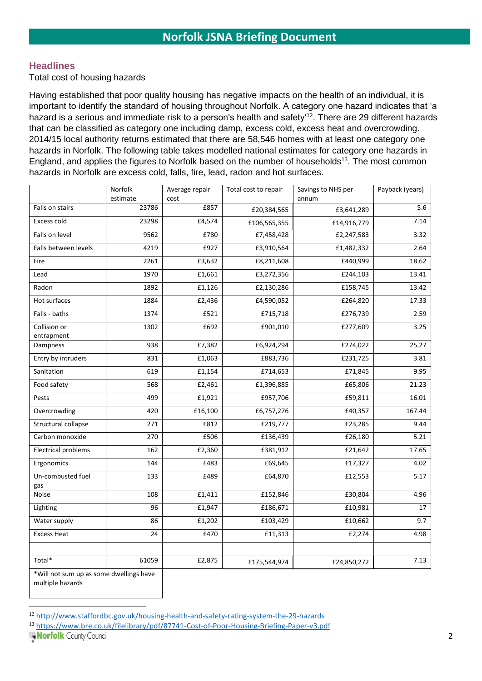### **Headlines**

Total cost of housing hazards

Having established that poor quality housing has negative impacts on the health of an individual, it is important to identify the standard of housing throughout Norfolk. A category one hazard indicates that 'a hazard is a serious and immediate risk to a person's health and safety'<sup>12</sup>. There are 29 different hazards that can be classified as category one including damp, excess cold, excess heat and overcrowding. 2014/15 local authority returns estimated that there are 58,546 homes with at least one category one hazards in Norfolk. The following table takes modelled national estimates for category one hazards in England, and applies the figures to Norfolk based on the number of households<sup>13</sup>. The most common hazards in Norfolk are excess cold, falls, fire, lead, radon and hot surfaces.

|                                         | Norfolk  | Average repair | Total cost to repair | Savings to NHS per | Payback (years) |
|-----------------------------------------|----------|----------------|----------------------|--------------------|-----------------|
|                                         | estimate | cost           |                      | annum              |                 |
| Falls on stairs                         | 23786    | £857           | £20,384,565          | £3,641,289         | 5.6             |
| Excess cold                             | 23298    | £4,574         | £106,565,355         | £14,916,779        | 7.14            |
| Falls on level                          | 9562     | £780           | £7,458,428           | £2,247,583         | 3.32            |
| Falls between levels                    | 4219     | £927           | £3,910,564           | £1,482,332         | 2.64            |
| Fire                                    | 2261     | £3,632         | £8,211,608           | £440,999           | 18.62           |
| Lead                                    | 1970     | £1,661         | £3,272,356           | £244,103           | 13.41           |
| Radon                                   | 1892     | £1,126         | £2,130,286           | £158,745           | 13.42           |
| Hot surfaces                            | 1884     | £2,436         | £4,590,052           | £264,820           | 17.33           |
| Falls - baths                           | 1374     | £521           | £715,718             | £276,739           | 2.59            |
| Collision or<br>entrapment              | 1302     | £692           | £901,010             | £277,609           | 3.25            |
| Dampness                                | 938      | £7,382         | £6,924,294           | £274,022           | 25.27           |
| Entry by intruders                      | 831      | £1,063         | £883,736             | £231,725           | 3.81            |
| Sanitation                              | 619      | £1,154         | £714,653             | £71,845            | 9.95            |
| Food safety                             | 568      | £2,461         | £1,396,885           | £65,806            | 21.23           |
| Pests                                   | 499      | £1,921         | £957,706             | £59,811            | 16.01           |
| Overcrowding                            | 420      | £16,100        | £6,757,276           | £40,357            | 167.44          |
| Structural collapse                     | 271      | £812           | £219,777             | £23,285            | 9.44            |
| Carbon monoxide                         | 270      | £506           | £136,439             | £26,180            | 5.21            |
| Electrical problems                     | 162      | £2,360         | £381,912             | £21,642            | 17.65           |
| Ergonomics                              | 144      | £483           | £69,645              | £17,327            | 4.02            |
| Un-combusted fuel                       | 133      | £489           | £64,870              | £12,553            | 5.17            |
| gas<br>Noise                            | 108      | £1,411         | £152,846             | £30,804            | 4.96            |
| Lighting                                | 96       | £1,947         | £186,671             | £10,981            | 17              |
| Water supply                            | 86       | £1,202         | £103,429             | £10,662            | 9.7             |
| <b>Excess Heat</b>                      | 24       | £470           | £11,313              | £2,274             | 4.98            |
|                                         |          |                |                      |                    |                 |
| Total*                                  | 61059    | £2,875         | £175,544,974         | £24,850,272        | 7.13            |
| *Will not sum up as some dwellings have |          |                |                      |                    |                 |

multiple hazards

<sup>12</sup> <http://www.staffordbc.gov.uk/housing-health-and-safety-rating-system-the-29-hazards>

<sup>13</sup> <https://www.bre.co.uk/filelibrary/pdf/87741-Cost-of-Poor-Housing-Briefing-Paper-v3.pdf>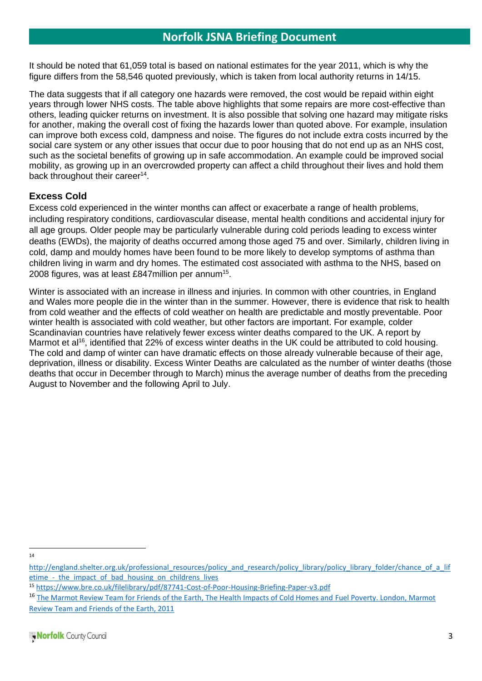It should be noted that 61,059 total is based on national estimates for the year 2011, which is why the figure differs from the 58,546 quoted previously, which is taken from local authority returns in 14/15.

The data suggests that if all category one hazards were removed, the cost would be repaid within eight years through lower NHS costs. The table above highlights that some repairs are more cost-effective than others, leading quicker returns on investment. It is also possible that solving one hazard may mitigate risks for another, making the overall cost of fixing the hazards lower than quoted above. For example, insulation can improve both excess cold, dampness and noise. The figures do not include extra costs incurred by the social care system or any other issues that occur due to poor housing that do not end up as an NHS cost, such as the societal benefits of growing up in safe accommodation. An example could be improved social mobility, as growing up in an overcrowded property can affect a child throughout their lives and hold them back throughout their career<sup>14</sup>.

### **Excess Cold**

Excess cold experienced in the winter months can affect or exacerbate a range of health problems, including respiratory conditions, cardiovascular disease, mental health conditions and accidental injury for all age groups. Older people may be particularly vulnerable during cold periods leading to excess winter deaths (EWDs), the majority of deaths occurred among those aged 75 and over. Similarly, children living in cold, damp and mouldy homes have been found to be more likely to develop symptoms of asthma than children living in warm and dry homes. The estimated cost associated with asthma to the NHS, based on 2008 figures, was at least £847 million per annum<sup>15</sup>.

Winter is associated with an increase in illness and injuries. In common with other countries, in England and Wales more people die in the winter than in the summer. However, there is evidence that risk to health from cold weather and the effects of cold weather on health are predictable and mostly preventable. Poor winter health is associated with cold weather, but other factors are important. For example, colder Scandinavian countries have relatively fewer excess winter deaths compared to the UK. A report by Marmot et al<sup>16</sup>, identified that 22% of excess winter deaths in the UK could be attributed to cold housing. The cold and damp of winter can have dramatic effects on those already vulnerable because of their age, deprivation, illness or disability. Excess Winter Deaths are calculated as the number of winter deaths (those deaths that occur in December through to March) minus the average number of deaths from the preceding August to November and the following April to July.

14

[http://england.shelter.org.uk/professional\\_resources/policy\\_and\\_research/policy\\_library/policy\\_library\\_folder/chance\\_of\\_a\\_lif](http://england.shelter.org.uk/professional_resources/policy_and_research/policy_library/policy_library_folder/chance_of_a_lifetime_-_the_impact_of_bad_housing_on_childrens_lives) etime - the impact of bad housing on childrens lives

<sup>15</sup> <https://www.bre.co.uk/filelibrary/pdf/87741-Cost-of-Poor-Housing-Briefing-Paper-v3.pdf>

<sup>&</sup>lt;sup>16</sup> The Marmot Review Team for Friends of the Earth, The Health Impacts of Cold Homes and Fuel Poverty. London, Marmot Review Team and Friends of the Earth, 2011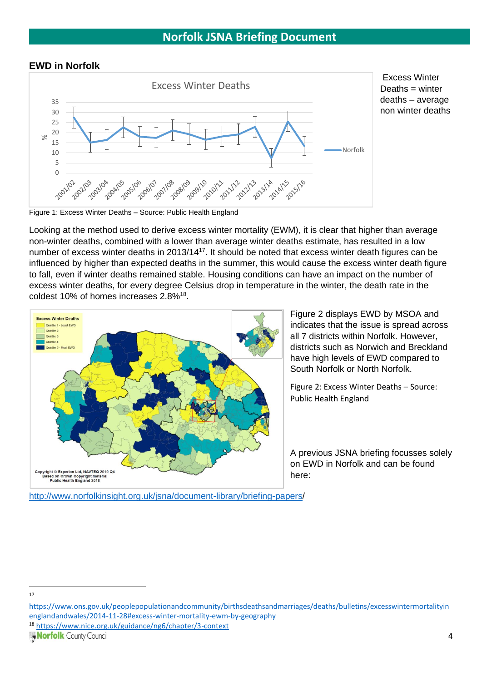#### **EWD in Norfolk**



Figure 1: Excess Winter Deaths – Source: Public Health England

Looking at the method used to derive excess winter mortality (EWM), it is clear that higher than average non-winter deaths, combined with a lower than average winter deaths estimate, has resulted in a low number of excess winter deaths in 2013/14<sup>17</sup>. It should be noted that excess winter death figures can be influenced by higher than expected deaths in the summer, this would cause the excess winter death figure to fall, even if winter deaths remained stable. Housing conditions can have an impact on the number of excess winter deaths, for every degree Celsius drop in temperature in the winter, the death rate in the coldest 10% of homes increases 2.8%<sup>18</sup>.



Figure 2 displays EWD by MSOA and indicates that the issue is spread across all 7 districts within Norfolk. However, districts such as Norwich and Breckland have high levels of EWD compared to South Norfolk or North Norfolk.

Figure 2: Excess Winter Deaths – Source: Public Health England

A previous JSNA briefing focusses solely on EWD in Norfolk and can be found here:

[http://www.norfolkinsight.org.uk/jsna/document-library/briefing-papers/](http://www.norfolkinsight.org.uk/jsna/document-library/briefing-papers)

<sup>18</sup> <https://www.nice.org.uk/guidance/ng6/chapter/3-context>

<sup>17</sup>

[https://www.ons.gov.uk/peoplepopulationandcommunity/birthsdeathsandmarriages/deaths/bulletins/excesswintermortalityin](https://www.ons.gov.uk/peoplepopulationandcommunity/birthsdeathsandmarriages/deaths/bulletins/excesswintermortalityinenglandandwales/2014-11-28#excess-winter-mortality-ewm-by-geography) [englandandwales/2014-11-28#excess-winter-mortality-ewm-by-geography](https://www.ons.gov.uk/peoplepopulationandcommunity/birthsdeathsandmarriages/deaths/bulletins/excesswintermortalityinenglandandwales/2014-11-28#excess-winter-mortality-ewm-by-geography)

Norfolk County Council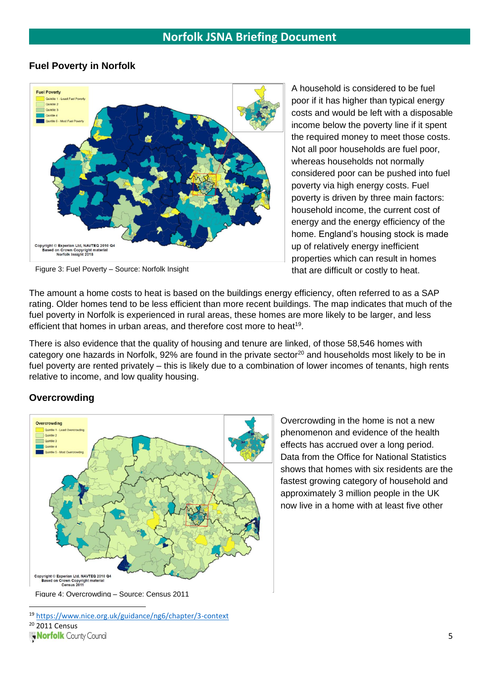### **Fuel Poverty in Norfolk**



Figure 3: Fuel Poverty – Source: Norfolk Insight

A household is considered to be fuel poor if it has higher than typical energy costs and would be left with a disposable income below the poverty line if it spent the required money to meet those costs. Not all poor households are fuel poor, whereas households not normally considered poor can be pushed into fuel poverty via high energy costs. Fuel poverty is driven by three main factors: household income, the current cost of energy and the energy efficiency of the home. England's housing stock is made up of relatively energy inefficient properties which can result in homes that are difficult or costly to heat.

The amount a home costs to heat is based on the buildings energy efficiency, often referred to as a SAP rating. Older homes tend to be less efficient than more recent buildings. The map indicates that much of the fuel poverty in Norfolk is experienced in rural areas, these homes are more likely to be larger, and less efficient that homes in urban areas, and therefore cost more to heat<sup>19</sup>.

There is also evidence that the quality of housing and tenure are linked, of those 58,546 homes with category one hazards in Norfolk, 92% are found in the private sector<sup>20</sup> and households most likely to be in fuel poverty are rented privately – this is likely due to a combination of lower incomes of tenants, high rents relative to income, and low quality housing.

### **Overcrowding**



Overcrowding in the home is not a new phenomenon and evidence of the health effects has accrued over a long period. Data from the Office for National Statistics shows that homes with six residents are the fastest growing category of household and approximately 3 million people in the UK now live in a home with at least five other

<sup>19</sup> <https://www.nice.org.uk/guidance/ng6/chapter/3-context> <sup>20</sup> 2011 Census Worfolk County Council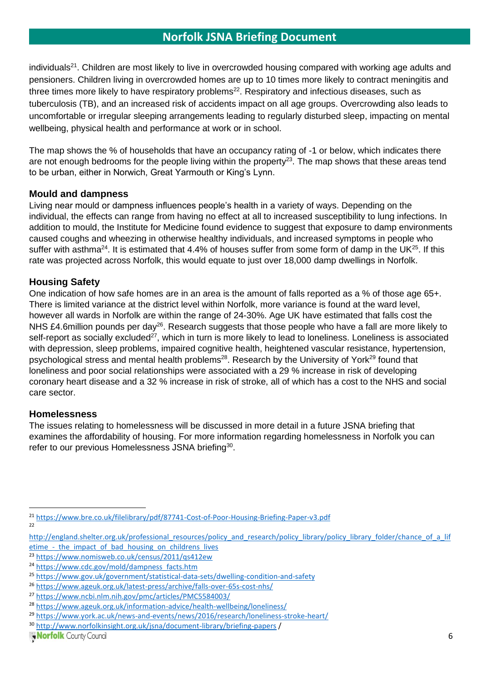individuals<sup>21</sup>. Children are most likely to live in overcrowded housing compared with working age adults and pensioners. Children living in overcrowded homes are up to 10 times more likely to contract meningitis and three times more likely to have respiratory problems<sup>22</sup>. Respiratory and infectious diseases, such as tuberculosis (TB), and an increased risk of accidents impact on all age groups. Overcrowding also leads to uncomfortable or irregular sleeping arrangements leading to regularly disturbed sleep, impacting on mental wellbeing, physical health and performance at work or in school.

The map shows the % of households that have an occupancy rating of -1 or below, which indicates there are not enough bedrooms for the people living within the property<sup>23</sup>. The map shows that these areas tend to be urban, either in Norwich, Great Yarmouth or King's Lynn.

### **Mould and dampness**

Living near mould or dampness influences people's health in a variety of ways. Depending on the individual, the effects can range from having no effect at all to increased susceptibility to lung infections. In addition to mould, the Institute for Medicine found evidence to suggest that exposure to damp environments caused coughs and wheezing in otherwise healthy individuals, and increased symptoms in people who suffer with asthma<sup>24</sup>. It is estimated that 4.4% of houses suffer from some form of damp in the UK<sup>25</sup>. If this rate was projected across Norfolk, this would equate to just over 18,000 damp dwellings in Norfolk.

### **Housing Safety**

One indication of how safe homes are in an area is the amount of falls reported as a % of those age 65+. There is limited variance at the district level within Norfolk, more variance is found at the ward level, however all wards in Norfolk are within the range of 24-30%. Age UK have estimated that falls cost the NHS £4.6million pounds per day<sup>26</sup>. Research suggests that those people who have a fall are more likely to self-report as socially excluded<sup>27</sup>, which in turn is more likely to lead to loneliness. Loneliness is associated with depression, sleep problems, impaired cognitive health, heightened vascular resistance, hypertension, psychological stress and mental health problems<sup>28</sup>. Research by the University of York<sup>29</sup> found that loneliness and poor social relationships were associated with a 29 % increase in risk of developing coronary heart disease and a 32 % increase in risk of stroke, all of which has a cost to the NHS and social care sector.

### **Homelessness**

The issues relating to homelessness will be discussed in more detail in a future JSNA briefing that examines the affordability of housing. For more information regarding homelessness in Norfolk you can refer to our previous Homelessness JSNA briefing<sup>30</sup>.

<sup>21</sup> <https://www.bre.co.uk/filelibrary/pdf/87741-Cost-of-Poor-Housing-Briefing-Paper-v3.pdf> 22

[http://england.shelter.org.uk/professional\\_resources/policy\\_and\\_research/policy\\_library/policy\\_library\\_folder/chance\\_of\\_a\\_lif](http://england.shelter.org.uk/professional_resources/policy_and_research/policy_library/policy_library_folder/chance_of_a_lifetime_-_the_impact_of_bad_housing_on_childrens_lives) etime - the impact of bad housing on childrens lives

<sup>23</sup> <https://www.nomisweb.co.uk/census/2011/qs412ew>

<sup>24</sup> [https://www.cdc.gov/mold/dampness\\_facts.htm](https://www.cdc.gov/mold/dampness_facts.htm)

<sup>25</sup> <https://www.gov.uk/government/statistical-data-sets/dwelling-condition-and-safety>

<sup>26</sup> <https://www.ageuk.org.uk/latest-press/archive/falls-over-65s-cost-nhs/>

<sup>27</sup> <https://www.ncbi.nlm.nih.gov/pmc/articles/PMC5584003/>

<sup>28</sup> <https://www.ageuk.org.uk/information-advice/health-wellbeing/loneliness/>

<sup>29</sup> <https://www.york.ac.uk/news-and-events/news/2016/research/loneliness-stroke-heart/>

<sup>30</sup> <http://www.norfolkinsight.org.uk/jsna/document-library/briefing-papers> /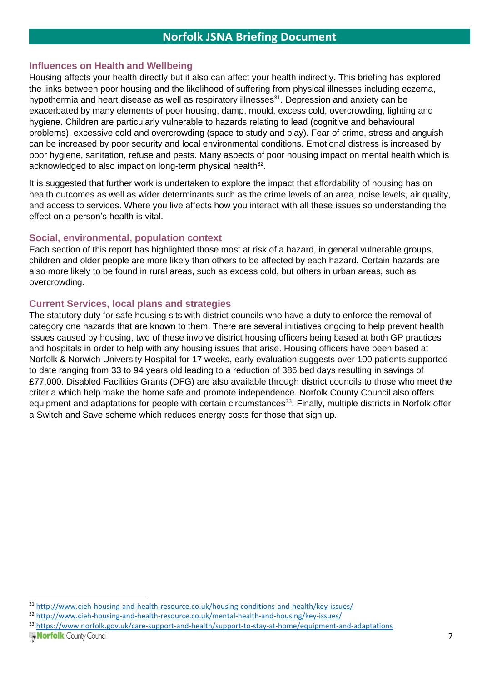#### **Influences on Health and Wellbeing**

Housing affects your health directly but it also can affect your health indirectly. This briefing has explored the links between poor housing and the likelihood of suffering from physical illnesses including eczema, hypothermia and heart disease as well as respiratory illnesses<sup>31</sup>. Depression and anxiety can be exacerbated by many elements of poor housing, damp, mould, excess cold, overcrowding, lighting and hygiene. Children are particularly vulnerable to hazards relating to lead (cognitive and behavioural problems), excessive cold and overcrowding (space to study and play). Fear of crime, stress and anguish can be increased by poor security and local environmental conditions. Emotional distress is increased by poor hygiene, sanitation, refuse and pests. Many aspects of poor housing impact on mental health which is acknowledged to also impact on long-term physical health<sup>32</sup>.

It is suggested that further work is undertaken to explore the impact that affordability of housing has on health outcomes as well as wider determinants such as the crime levels of an area, noise levels, air quality, and access to services. Where you live affects how you interact with all these issues so understanding the effect on a person's health is vital.

#### **Social, environmental, population context**

Each section of this report has highlighted those most at risk of a hazard, in general vulnerable groups, children and older people are more likely than others to be affected by each hazard. Certain hazards are also more likely to be found in rural areas, such as excess cold, but others in urban areas, such as overcrowding.

#### **Current Services, local plans and strategies**

The statutory duty for safe housing sits with district councils who have a duty to enforce the removal of category one hazards that are known to them. There are several initiatives ongoing to help prevent health issues caused by housing, two of these involve district housing officers being based at both GP practices and hospitals in order to help with any housing issues that arise. Housing officers have been based at Norfolk & Norwich University Hospital for 17 weeks, early evaluation suggests over 100 patients supported to date ranging from 33 to 94 years old leading to a reduction of 386 bed days resulting in savings of £77,000. Disabled Facilities Grants (DFG) are also available through district councils to those who meet the criteria which help make the home safe and promote independence. Norfolk County Council also offers equipment and adaptations for people with certain circumstances<sup>33</sup>. Finally, multiple districts in Norfolk offer a Switch and Save scheme which reduces energy costs for those that sign up.

<sup>31</sup> <http://www.cieh-housing-and-health-resource.co.uk/housing-conditions-and-health/key-issues/>

<sup>32</sup> <http://www.cieh-housing-and-health-resource.co.uk/mental-health-and-housing/key-issues/>

<sup>33</sup> <https://www.norfolk.gov.uk/care-support-and-health/support-to-stay-at-home/equipment-and-adaptations>

Worfolk County Council